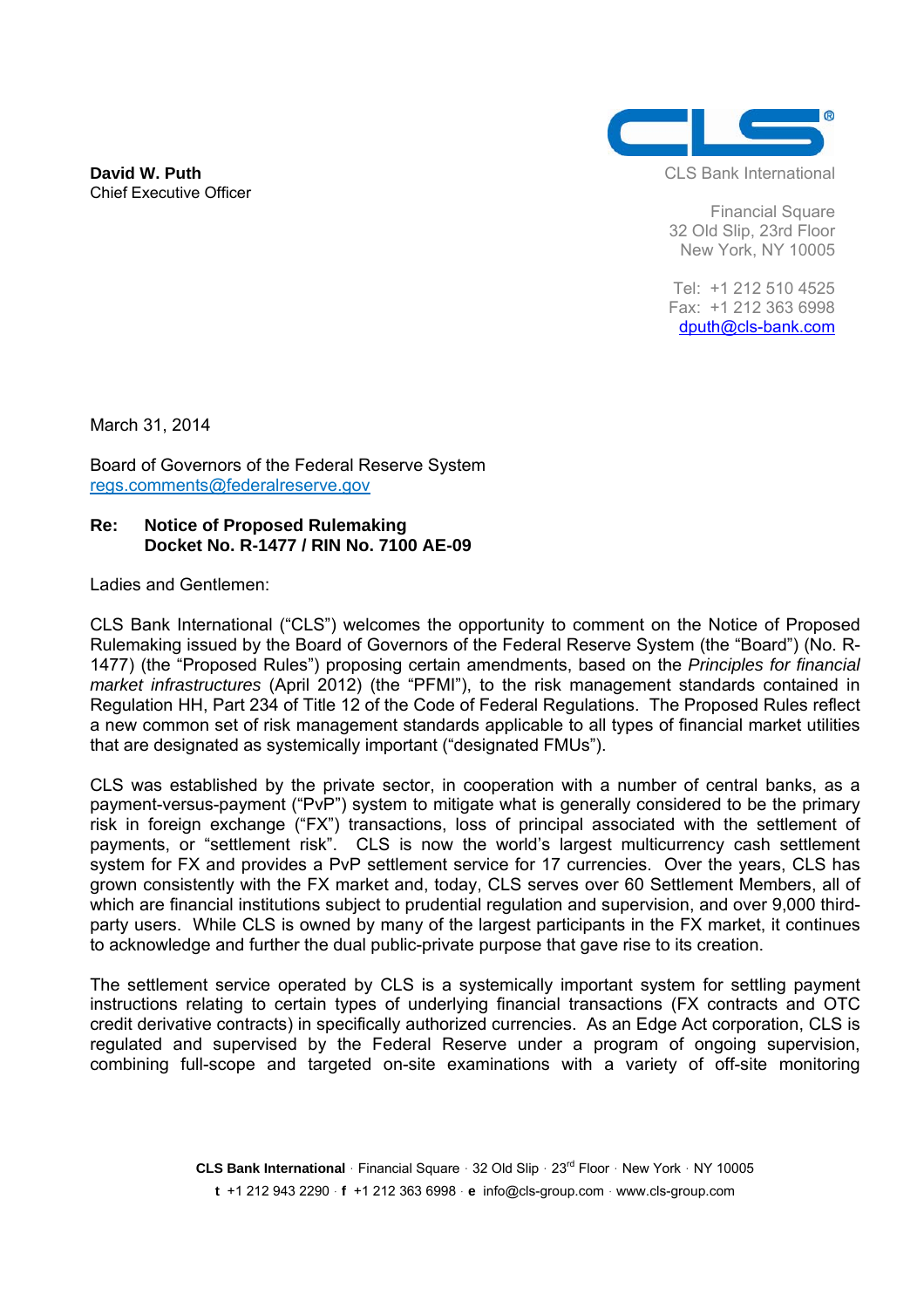**David W. Puth** Chief Executive Officer



CLS Bank International

Financial Square 32 Old Slip, 23rd Floor New York, NY 10005

 Tel: +1 212 510 4525 Fax: +1 212 363 6998 dputh@cls-bank.com

March 31, 2014

Board of Governors of the Federal Reserve System regs.comments@federalreserve.gov

# **Re: Notice of Proposed Rulemaking Docket No. R-1477 / RIN No. 7100 AE-09**

Ladies and Gentlemen:

CLS Bank International ("CLS") welcomes the opportunity to comment on the Notice of Proposed Rulemaking issued by the Board of Governors of the Federal Reserve System (the "Board") (No. R-1477) (the "Proposed Rules") proposing certain amendments, based on the *Principles for financial market infrastructures* (April 2012) (the "PFMI"), to the risk management standards contained in Regulation HH, Part 234 of Title 12 of the Code of Federal Regulations. The Proposed Rules reflect a new common set of risk management standards applicable to all types of financial market utilities that are designated as systemically important ("designated FMUs").

CLS was established by the private sector, in cooperation with a number of central banks, as a payment-versus-payment ("PvP") system to mitigate what is generally considered to be the primary risk in foreign exchange ("FX") transactions, loss of principal associated with the settlement of payments, or "settlement risk". CLS is now the world's largest multicurrency cash settlement system for FX and provides a PvP settlement service for 17 currencies. Over the years, CLS has grown consistently with the FX market and, today, CLS serves over 60 Settlement Members, all of which are financial institutions subject to prudential regulation and supervision, and over 9,000 thirdparty users. While CLS is owned by many of the largest participants in the FX market, it continues to acknowledge and further the dual public-private purpose that gave rise to its creation.

The settlement service operated by CLS is a systemically important system for settling payment instructions relating to certain types of underlying financial transactions (FX contracts and OTC credit derivative contracts) in specifically authorized currencies. As an Edge Act corporation, CLS is regulated and supervised by the Federal Reserve under a program of ongoing supervision, combining full-scope and targeted on-site examinations with a variety of off-site monitoring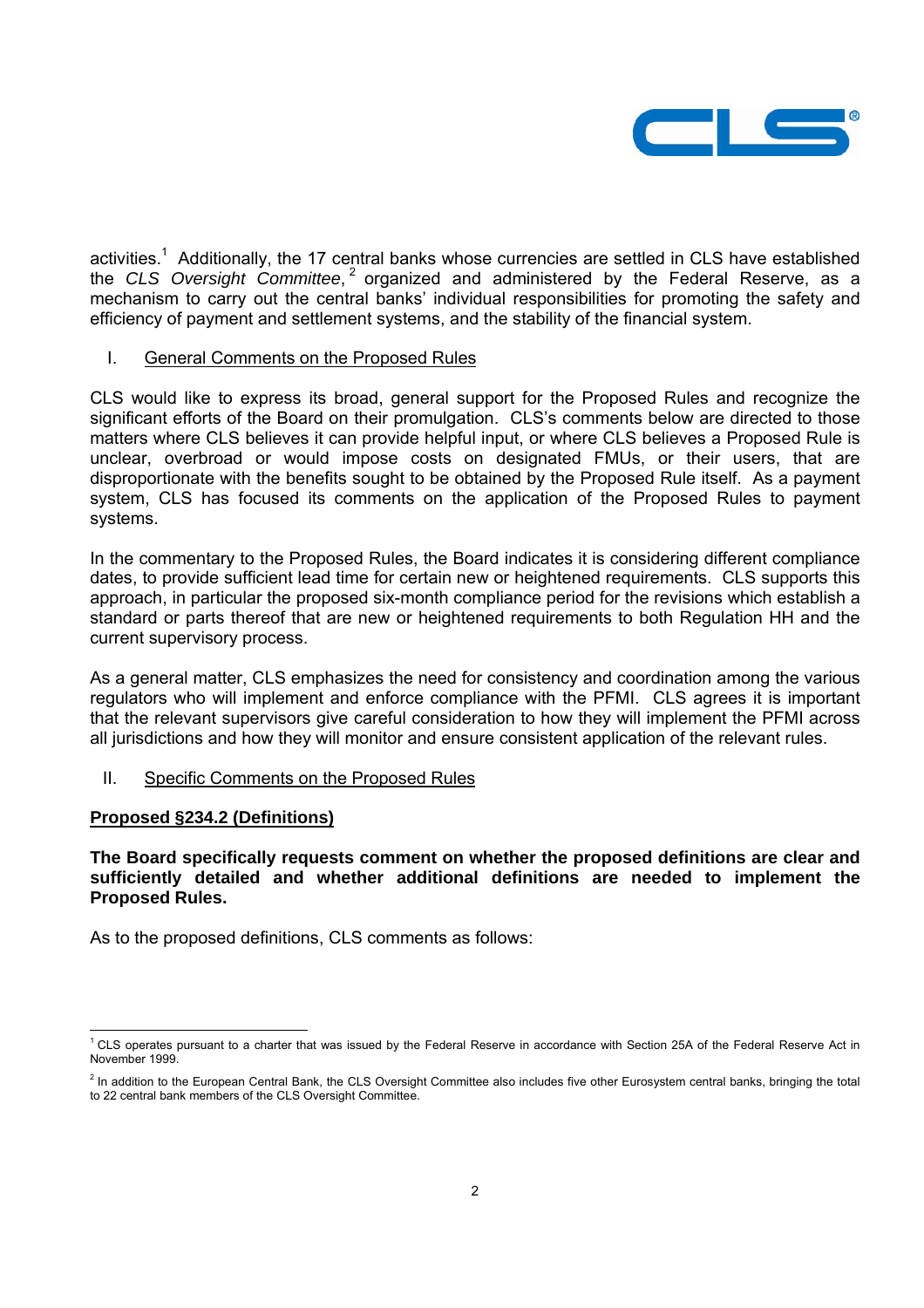

activities.<sup>1</sup> Additionally, the 17 central banks whose currencies are settled in CLS have established the *CLS* Oversight Committee, <sup>2</sup> organized and administered by the Federal Reserve, as a mechanism to carry out the central banks' individual responsibilities for promoting the safety and efficiency of payment and settlement systems, and the stability of the financial system.

#### I. General Comments on the Proposed Rules

CLS would like to express its broad, general support for the Proposed Rules and recognize the significant efforts of the Board on their promulgation. CLS's comments below are directed to those matters where CLS believes it can provide helpful input, or where CLS believes a Proposed Rule is unclear, overbroad or would impose costs on designated FMUs, or their users, that are disproportionate with the benefits sought to be obtained by the Proposed Rule itself. As a payment system, CLS has focused its comments on the application of the Proposed Rules to payment systems.

In the commentary to the Proposed Rules, the Board indicates it is considering different compliance dates, to provide sufficient lead time for certain new or heightened requirements. CLS supports this approach, in particular the proposed six-month compliance period for the revisions which establish a standard or parts thereof that are new or heightened requirements to both Regulation HH and the current supervisory process.

As a general matter, CLS emphasizes the need for consistency and coordination among the various regulators who will implement and enforce compliance with the PFMI. CLS agrees it is important that the relevant supervisors give careful consideration to how they will implement the PFMI across all jurisdictions and how they will monitor and ensure consistent application of the relevant rules.

# II. Specific Comments on the Proposed Rules

#### **Proposed §234.2 (Definitions)**

**The Board specifically requests comment on whether the proposed definitions are clear and sufficiently detailed and whether additional definitions are needed to implement the Proposed Rules.** 

As to the proposed definitions, CLS comments as follows:

 1 CLS operates pursuant to a charter that was issued by the Federal Reserve in accordance with Section 25A of the Federal Reserve Act in November 1999.

<sup>&</sup>lt;sup>2</sup> In addition to the European Central Bank, the CLS Oversight Committee also includes five other Eurosystem central banks, bringing the total to 22 central bank members of the CLS Oversight Committee.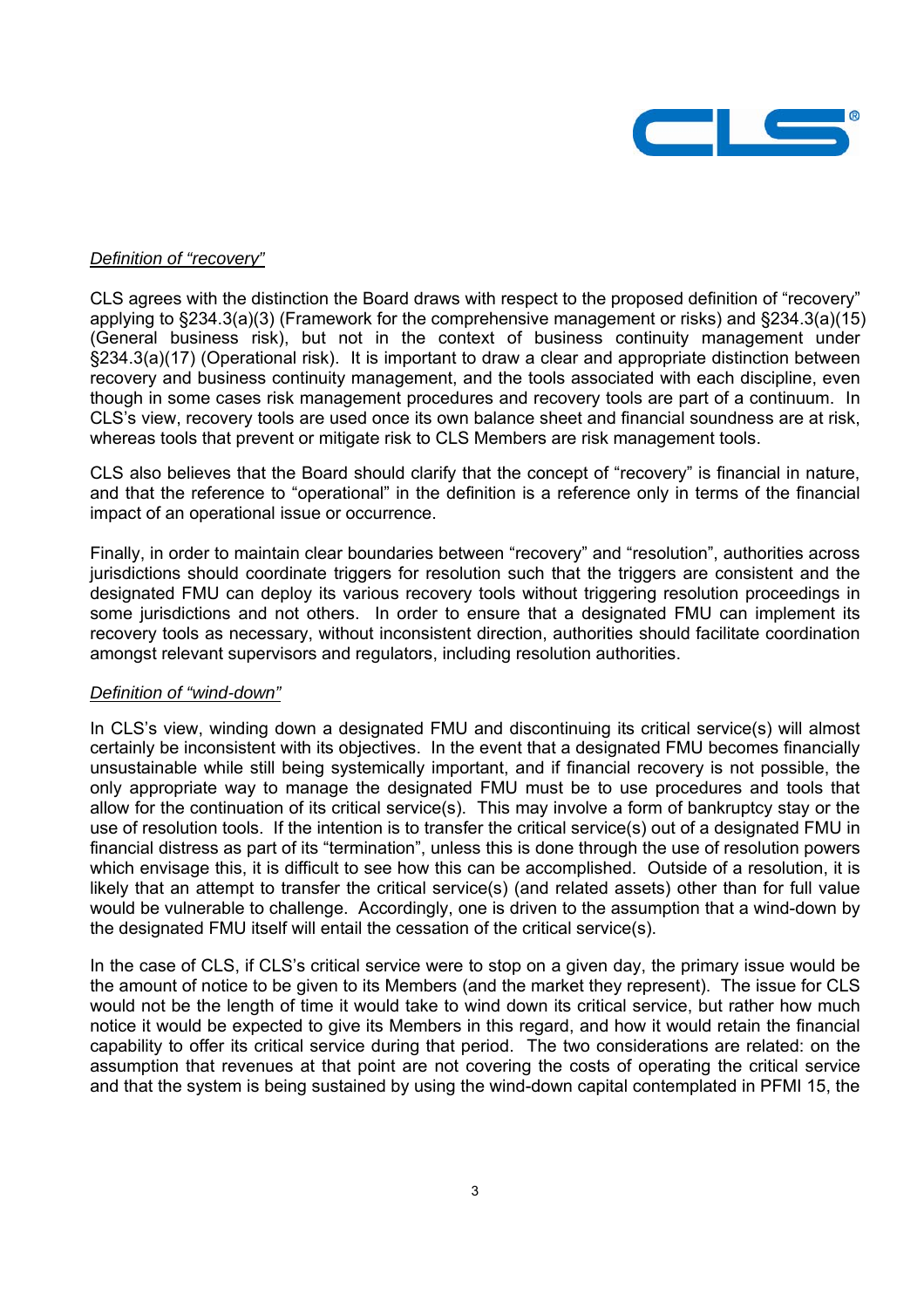

### *Definition of "recovery"*

CLS agrees with the distinction the Board draws with respect to the proposed definition of "recovery" applying to §234.3(a)(3) (Framework for the comprehensive management or risks) and §234.3(a)(15) (General business risk), but not in the context of business continuity management under §234.3(a)(17) (Operational risk). It is important to draw a clear and appropriate distinction between recovery and business continuity management, and the tools associated with each discipline, even though in some cases risk management procedures and recovery tools are part of a continuum. In CLS's view, recovery tools are used once its own balance sheet and financial soundness are at risk, whereas tools that prevent or mitigate risk to CLS Members are risk management tools.

CLS also believes that the Board should clarify that the concept of "recovery" is financial in nature, and that the reference to "operational" in the definition is a reference only in terms of the financial impact of an operational issue or occurrence.

Finally, in order to maintain clear boundaries between "recovery" and "resolution", authorities across jurisdictions should coordinate triggers for resolution such that the triggers are consistent and the designated FMU can deploy its various recovery tools without triggering resolution proceedings in some jurisdictions and not others. In order to ensure that a designated FMU can implement its recovery tools as necessary, without inconsistent direction, authorities should facilitate coordination amongst relevant supervisors and regulators, including resolution authorities.

#### *Definition of "wind-down"*

In CLS's view, winding down a designated FMU and discontinuing its critical service(s) will almost certainly be inconsistent with its objectives. In the event that a designated FMU becomes financially unsustainable while still being systemically important, and if financial recovery is not possible, the only appropriate way to manage the designated FMU must be to use procedures and tools that allow for the continuation of its critical service(s). This may involve a form of bankruptcy stay or the use of resolution tools. If the intention is to transfer the critical service(s) out of a designated FMU in financial distress as part of its "termination", unless this is done through the use of resolution powers which envisage this, it is difficult to see how this can be accomplished. Outside of a resolution, it is likely that an attempt to transfer the critical service(s) (and related assets) other than for full value would be vulnerable to challenge. Accordingly, one is driven to the assumption that a wind-down by the designated FMU itself will entail the cessation of the critical service(s).

In the case of CLS, if CLS's critical service were to stop on a given day, the primary issue would be the amount of notice to be given to its Members (and the market they represent). The issue for CLS would not be the length of time it would take to wind down its critical service, but rather how much notice it would be expected to give its Members in this regard, and how it would retain the financial capability to offer its critical service during that period. The two considerations are related: on the assumption that revenues at that point are not covering the costs of operating the critical service and that the system is being sustained by using the wind-down capital contemplated in PFMI 15, the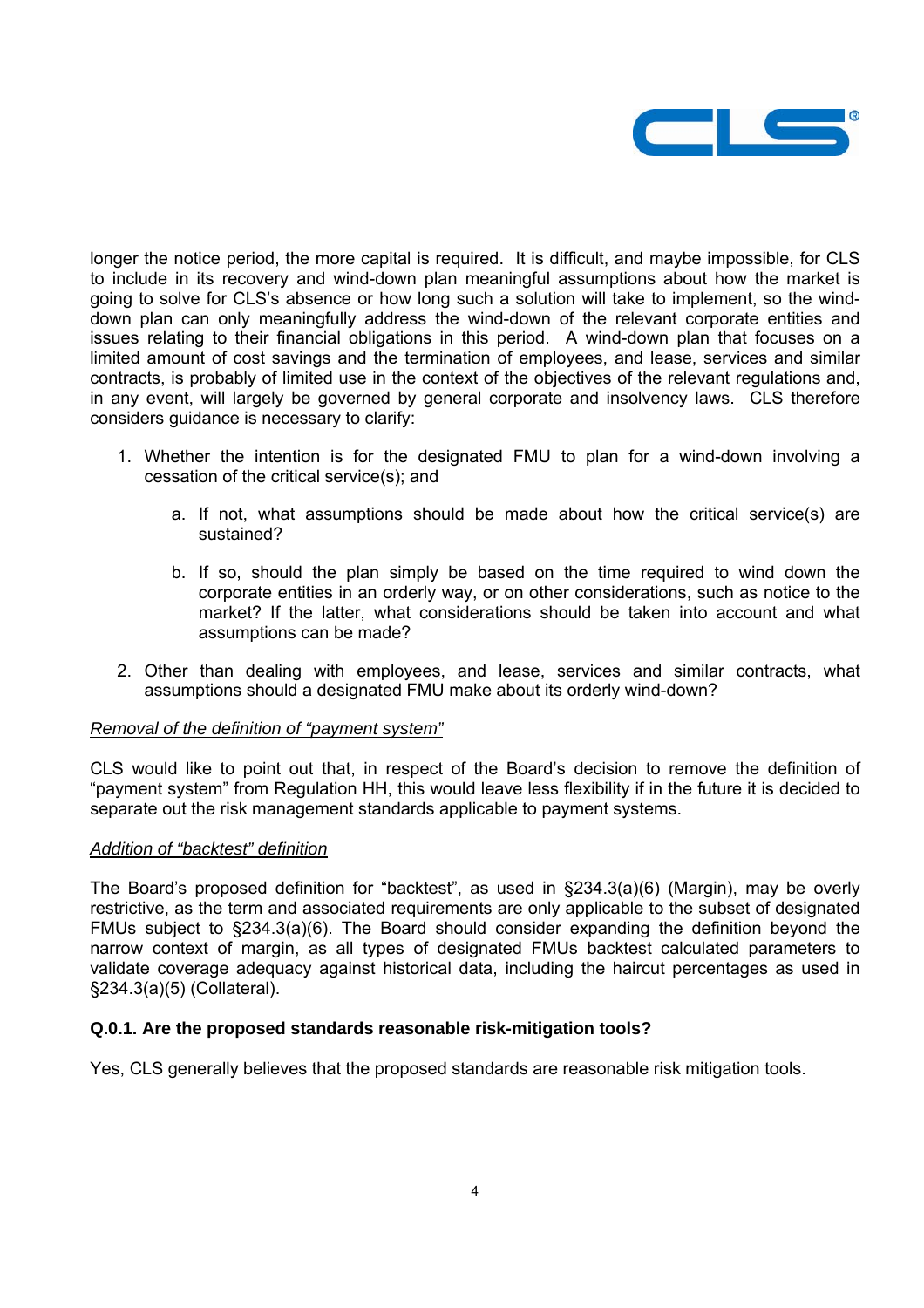

longer the notice period, the more capital is required. It is difficult, and maybe impossible, for CLS to include in its recovery and wind-down plan meaningful assumptions about how the market is going to solve for CLS's absence or how long such a solution will take to implement, so the winddown plan can only meaningfully address the wind-down of the relevant corporate entities and issues relating to their financial obligations in this period. A wind-down plan that focuses on a limited amount of cost savings and the termination of employees, and lease, services and similar contracts, is probably of limited use in the context of the objectives of the relevant regulations and, in any event, will largely be governed by general corporate and insolvency laws. CLS therefore considers guidance is necessary to clarify:

- 1. Whether the intention is for the designated FMU to plan for a wind-down involving a cessation of the critical service(s); and
	- a. If not, what assumptions should be made about how the critical service(s) are sustained?
	- b. If so, should the plan simply be based on the time required to wind down the corporate entities in an orderly way, or on other considerations, such as notice to the market? If the latter, what considerations should be taken into account and what assumptions can be made?
- 2. Other than dealing with employees, and lease, services and similar contracts, what assumptions should a designated FMU make about its orderly wind-down?

#### *Removal of the definition of "payment system"*

CLS would like to point out that, in respect of the Board's decision to remove the definition of "payment system" from Regulation HH, this would leave less flexibility if in the future it is decided to separate out the risk management standards applicable to payment systems.

#### *Addition of "backtest" definition*

The Board's proposed definition for "backtest", as used in §234.3(a)(6) (Margin), may be overly restrictive, as the term and associated requirements are only applicable to the subset of designated FMUs subject to §234.3(a)(6). The Board should consider expanding the definition beyond the narrow context of margin, as all types of designated FMUs backtest calculated parameters to validate coverage adequacy against historical data, including the haircut percentages as used in §234.3(a)(5) (Collateral).

# **Q.0.1. Are the proposed standards reasonable risk-mitigation tools?**

Yes, CLS generally believes that the proposed standards are reasonable risk mitigation tools.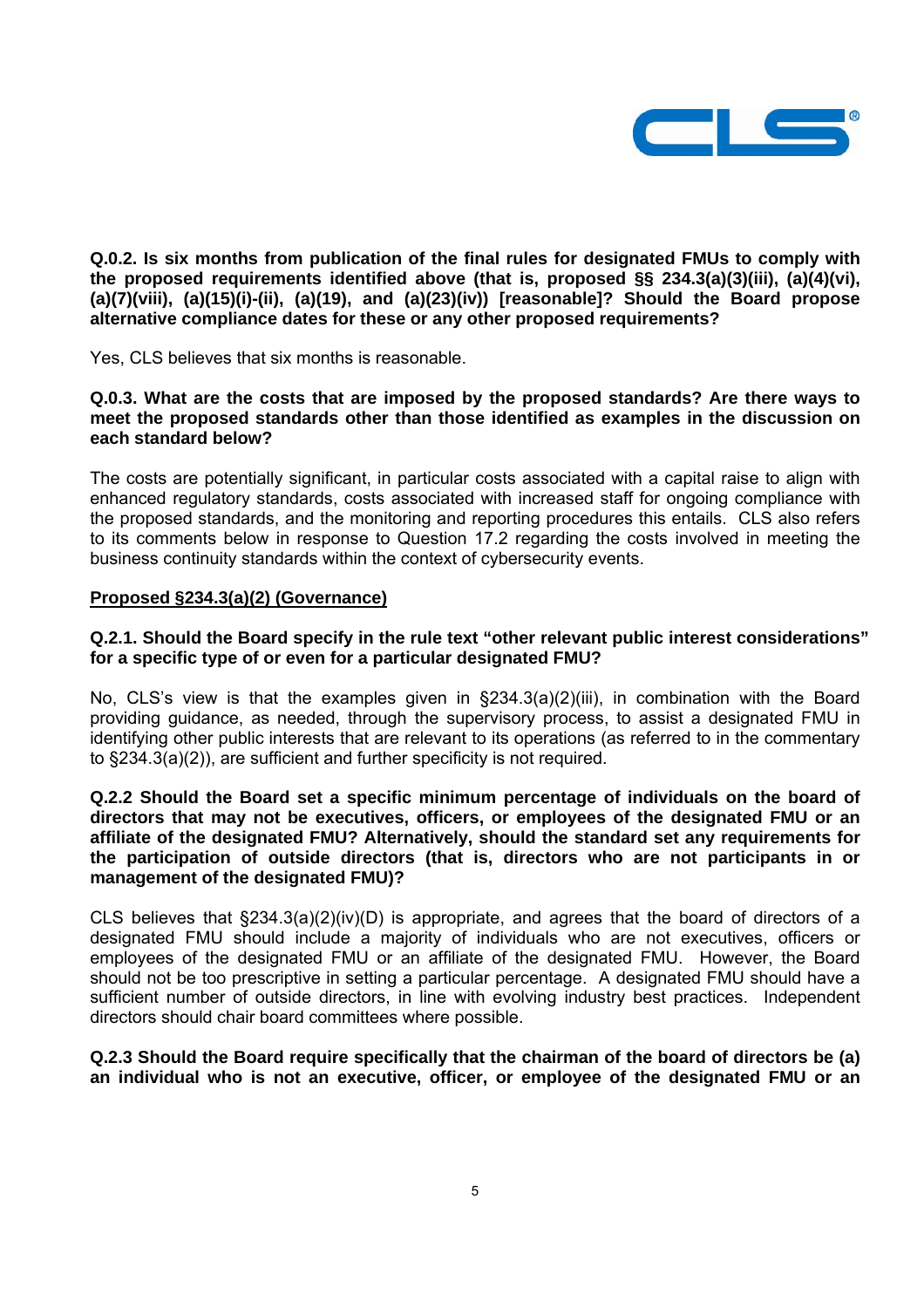

**Q.0.2. Is six months from publication of the final rules for designated FMUs to comply with the proposed requirements identified above (that is, proposed §§ 234.3(a)(3)(iii), (a)(4)(vi), (a)(7)(viii), (a)(15)(i)-(ii), (a)(19), and (a)(23)(iv)) [reasonable]? Should the Board propose alternative compliance dates for these or any other proposed requirements?** 

Yes, CLS believes that six months is reasonable.

**Q.0.3. What are the costs that are imposed by the proposed standards? Are there ways to meet the proposed standards other than those identified as examples in the discussion on each standard below?** 

The costs are potentially significant, in particular costs associated with a capital raise to align with enhanced regulatory standards, costs associated with increased staff for ongoing compliance with the proposed standards, and the monitoring and reporting procedures this entails. CLS also refers to its comments below in response to Question 17.2 regarding the costs involved in meeting the business continuity standards within the context of cybersecurity events.

### **Proposed §234.3(a)(2) (Governance)**

## **Q.2.1. Should the Board specify in the rule text "other relevant public interest considerations" for a specific type of or even for a particular designated FMU?**

No, CLS's view is that the examples given in §234.3(a)(2)(iii), in combination with the Board providing guidance, as needed, through the supervisory process, to assist a designated FMU in identifying other public interests that are relevant to its operations (as referred to in the commentary to §234.3(a)(2)), are sufficient and further specificity is not required.

## **Q.2.2 Should the Board set a specific minimum percentage of individuals on the board of directors that may not be executives, officers, or employees of the designated FMU or an affiliate of the designated FMU? Alternatively, should the standard set any requirements for the participation of outside directors (that is, directors who are not participants in or management of the designated FMU)?**

CLS believes that §234.3(a)(2)(iv)(D) is appropriate, and agrees that the board of directors of a designated FMU should include a majority of individuals who are not executives, officers or employees of the designated FMU or an affiliate of the designated FMU. However, the Board should not be too prescriptive in setting a particular percentage. A designated FMU should have a sufficient number of outside directors, in line with evolving industry best practices. Independent directors should chair board committees where possible.

### **Q.2.3 Should the Board require specifically that the chairman of the board of directors be (a) an individual who is not an executive, officer, or employee of the designated FMU or an**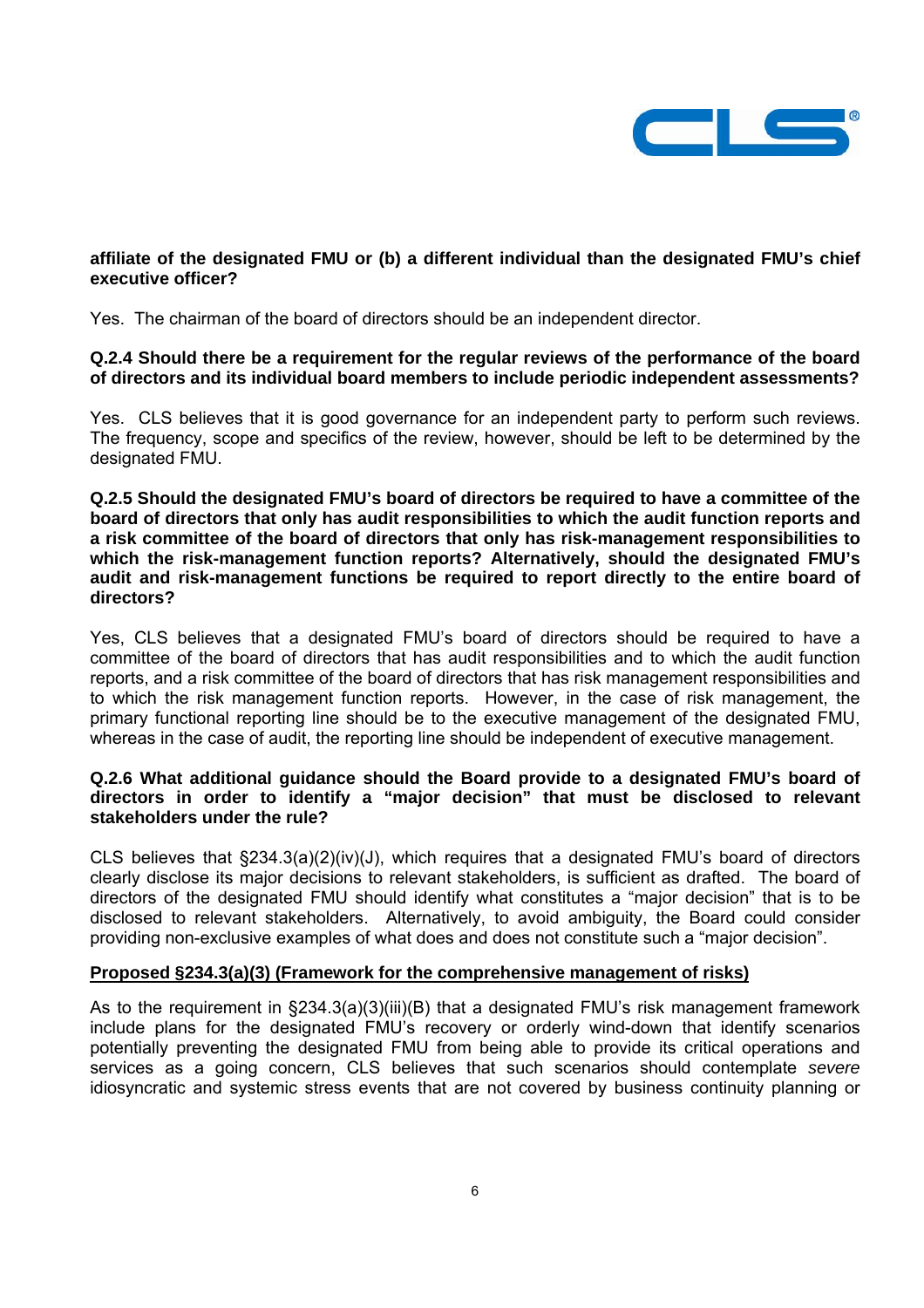

# **affiliate of the designated FMU or (b) a different individual than the designated FMU's chief executive officer?**

Yes. The chairman of the board of directors should be an independent director.

### **Q.2.4 Should there be a requirement for the regular reviews of the performance of the board of directors and its individual board members to include periodic independent assessments?**

Yes. CLS believes that it is good governance for an independent party to perform such reviews. The frequency, scope and specifics of the review, however, should be left to be determined by the designated FMU.

**Q.2.5 Should the designated FMU's board of directors be required to have a committee of the board of directors that only has audit responsibilities to which the audit function reports and a risk committee of the board of directors that only has risk-management responsibilities to which the risk-management function reports? Alternatively, should the designated FMU's audit and risk-management functions be required to report directly to the entire board of directors?** 

Yes, CLS believes that a designated FMU's board of directors should be required to have a committee of the board of directors that has audit responsibilities and to which the audit function reports, and a risk committee of the board of directors that has risk management responsibilities and to which the risk management function reports. However, in the case of risk management, the primary functional reporting line should be to the executive management of the designated FMU, whereas in the case of audit, the reporting line should be independent of executive management.

## **Q.2.6 What additional guidance should the Board provide to a designated FMU's board of directors in order to identify a "major decision" that must be disclosed to relevant stakeholders under the rule?**

CLS believes that  $\S 234.3(a)(2)(iv)(J)$ , which requires that a designated FMU's board of directors clearly disclose its major decisions to relevant stakeholders, is sufficient as drafted. The board of directors of the designated FMU should identify what constitutes a "major decision" that is to be disclosed to relevant stakeholders. Alternatively, to avoid ambiguity, the Board could consider providing non-exclusive examples of what does and does not constitute such a "major decision".

# **Proposed §234.3(a)(3) (Framework for the comprehensive management of risks)**

As to the requirement in §234.3(a)(3)(iii)(B) that a designated FMU's risk management framework include plans for the designated FMU's recovery or orderly wind-down that identify scenarios potentially preventing the designated FMU from being able to provide its critical operations and services as a going concern, CLS believes that such scenarios should contemplate *severe* idiosyncratic and systemic stress events that are not covered by business continuity planning or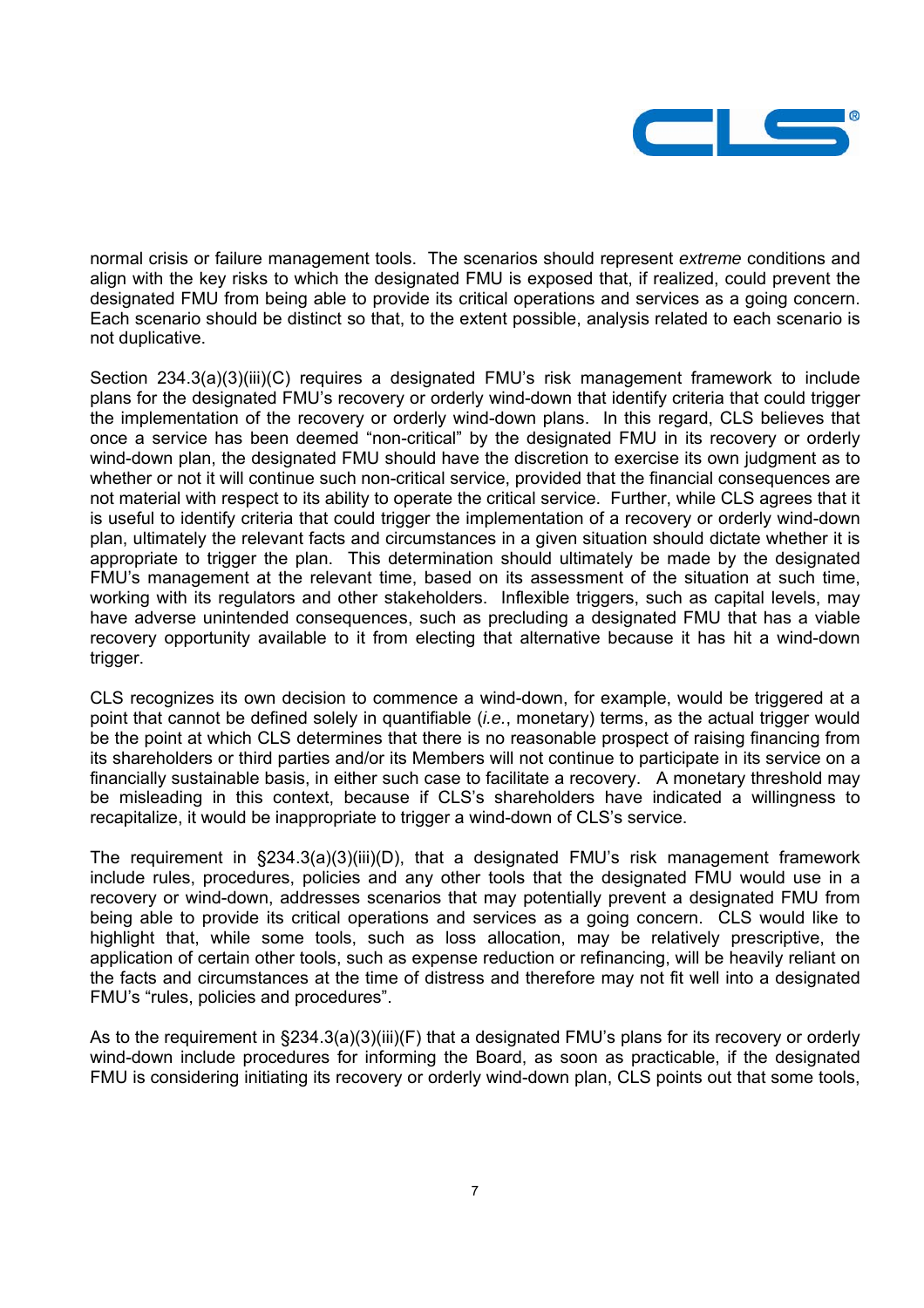

normal crisis or failure management tools. The scenarios should represent *extreme* conditions and align with the key risks to which the designated FMU is exposed that, if realized, could prevent the designated FMU from being able to provide its critical operations and services as a going concern. Each scenario should be distinct so that, to the extent possible, analysis related to each scenario is not duplicative.

Section 234.3(a)(3)(iii)(C) requires a designated FMU's risk management framework to include plans for the designated FMU's recovery or orderly wind-down that identify criteria that could trigger the implementation of the recovery or orderly wind-down plans. In this regard, CLS believes that once a service has been deemed "non-critical" by the designated FMU in its recovery or orderly wind-down plan, the designated FMU should have the discretion to exercise its own judgment as to whether or not it will continue such non-critical service, provided that the financial consequences are not material with respect to its ability to operate the critical service. Further, while CLS agrees that it is useful to identify criteria that could trigger the implementation of a recovery or orderly wind-down plan, ultimately the relevant facts and circumstances in a given situation should dictate whether it is appropriate to trigger the plan. This determination should ultimately be made by the designated FMU's management at the relevant time, based on its assessment of the situation at such time, working with its regulators and other stakeholders. Inflexible triggers, such as capital levels, may have adverse unintended consequences, such as precluding a designated FMU that has a viable recovery opportunity available to it from electing that alternative because it has hit a wind-down trigger.

CLS recognizes its own decision to commence a wind-down, for example, would be triggered at a point that cannot be defined solely in quantifiable (*i.e.*, monetary) terms, as the actual trigger would be the point at which CLS determines that there is no reasonable prospect of raising financing from its shareholders or third parties and/or its Members will not continue to participate in its service on a financially sustainable basis, in either such case to facilitate a recovery. A monetary threshold may be misleading in this context, because if CLS's shareholders have indicated a willingness to recapitalize, it would be inappropriate to trigger a wind-down of CLS's service.

The requirement in §234.3(a)(3)(iii)(D), that a designated FMU's risk management framework include rules, procedures, policies and any other tools that the designated FMU would use in a recovery or wind-down, addresses scenarios that may potentially prevent a designated FMU from being able to provide its critical operations and services as a going concern. CLS would like to highlight that, while some tools, such as loss allocation, may be relatively prescriptive, the application of certain other tools, such as expense reduction or refinancing, will be heavily reliant on the facts and circumstances at the time of distress and therefore may not fit well into a designated FMU's "rules, policies and procedures".

As to the requirement in §234.3(a)(3)(iii)(F) that a designated FMU's plans for its recovery or orderly wind-down include procedures for informing the Board, as soon as practicable, if the designated FMU is considering initiating its recovery or orderly wind-down plan, CLS points out that some tools,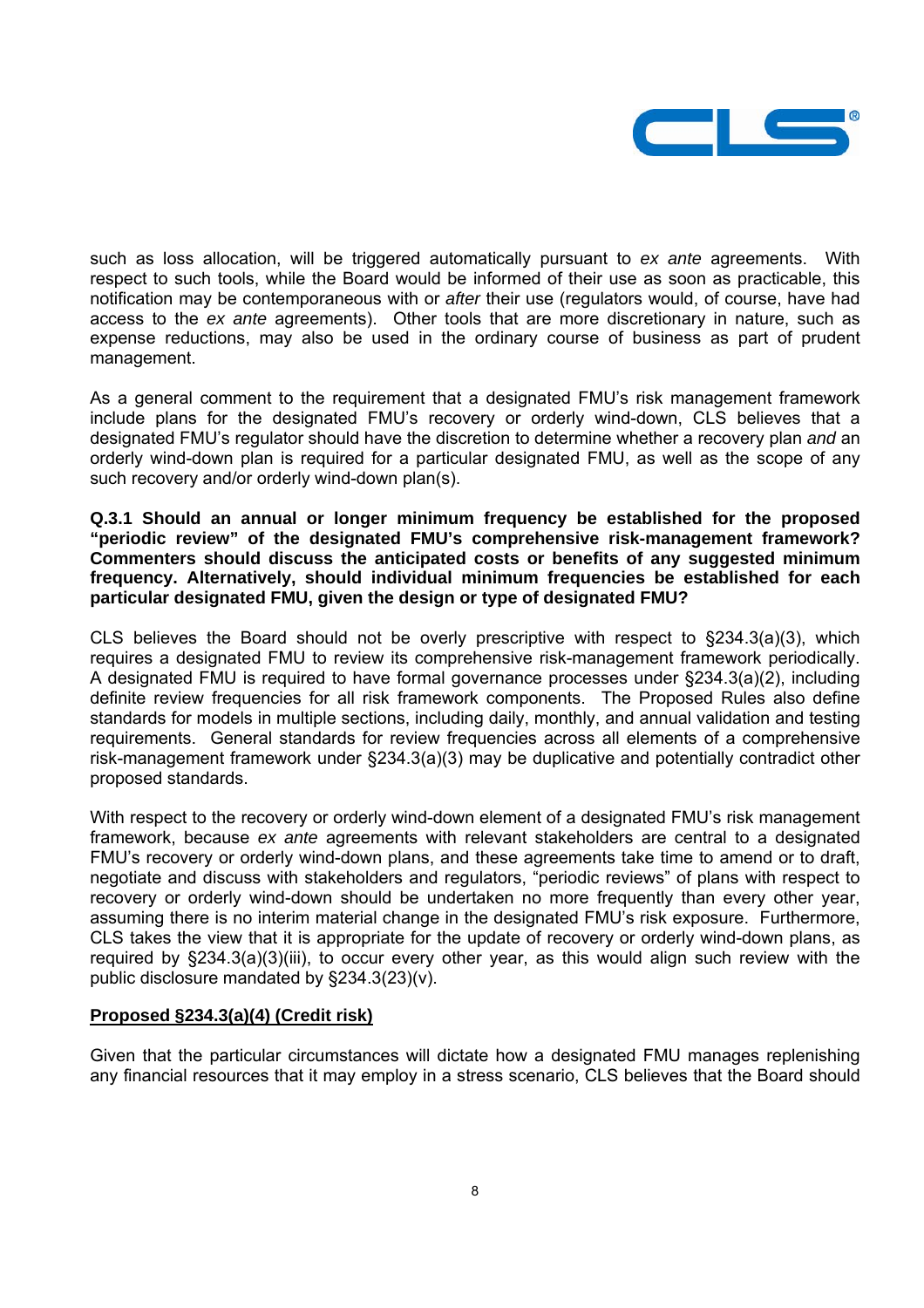

such as loss allocation, will be triggered automatically pursuant to *ex ante* agreements. With respect to such tools, while the Board would be informed of their use as soon as practicable, this notification may be contemporaneous with or *after* their use (regulators would, of course, have had access to the *ex ante* agreements). Other tools that are more discretionary in nature, such as expense reductions, may also be used in the ordinary course of business as part of prudent management.

As a general comment to the requirement that a designated FMU's risk management framework include plans for the designated FMU's recovery or orderly wind-down, CLS believes that a designated FMU's regulator should have the discretion to determine whether a recovery plan *and* an orderly wind-down plan is required for a particular designated FMU, as well as the scope of any such recovery and/or orderly wind-down plan(s).

**Q.3.1 Should an annual or longer minimum frequency be established for the proposed "periodic review" of the designated FMU's comprehensive risk-management framework? Commenters should discuss the anticipated costs or benefits of any suggested minimum frequency. Alternatively, should individual minimum frequencies be established for each particular designated FMU, given the design or type of designated FMU?** 

CLS believes the Board should not be overly prescriptive with respect to §234.3(a)(3), which requires a designated FMU to review its comprehensive risk-management framework periodically. A designated FMU is required to have formal governance processes under §234.3(a)(2), including definite review frequencies for all risk framework components. The Proposed Rules also define standards for models in multiple sections, including daily, monthly, and annual validation and testing requirements. General standards for review frequencies across all elements of a comprehensive risk-management framework under §234.3(a)(3) may be duplicative and potentially contradict other proposed standards.

With respect to the recovery or orderly wind-down element of a designated FMU's risk management framework, because *ex ante* agreements with relevant stakeholders are central to a designated FMU's recovery or orderly wind-down plans, and these agreements take time to amend or to draft, negotiate and discuss with stakeholders and regulators, "periodic reviews" of plans with respect to recovery or orderly wind-down should be undertaken no more frequently than every other year, assuming there is no interim material change in the designated FMU's risk exposure. Furthermore, CLS takes the view that it is appropriate for the update of recovery or orderly wind-down plans, as required by §234.3(a)(3)(iii), to occur every other year, as this would align such review with the public disclosure mandated by §234.3(23)(v).

# **Proposed §234.3(a)(4) (Credit risk)**

Given that the particular circumstances will dictate how a designated FMU manages replenishing any financial resources that it may employ in a stress scenario, CLS believes that the Board should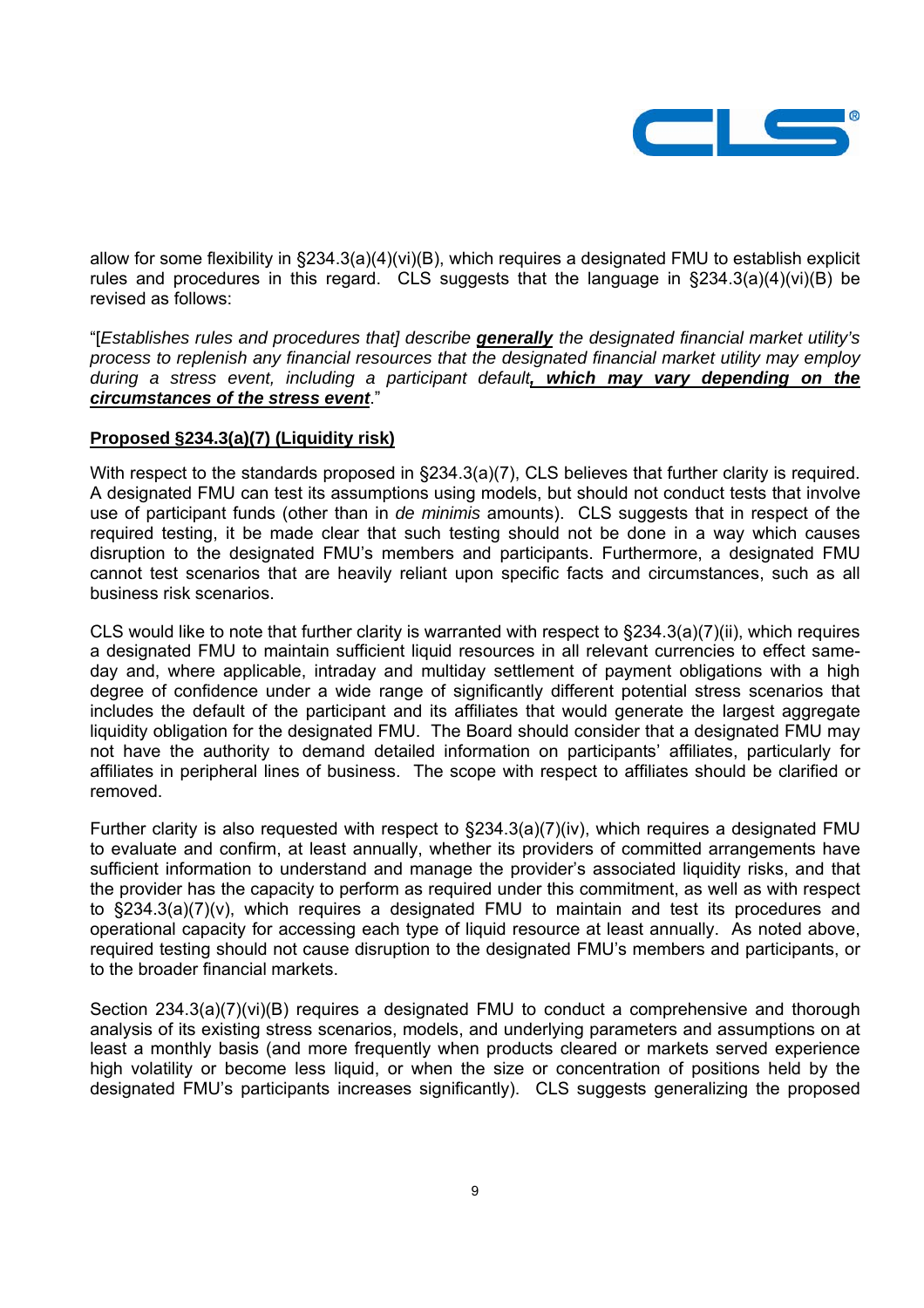

allow for some flexibility in §234.3(a)(4)(vi)(B), which requires a designated FMU to establish explicit rules and procedures in this regard. CLS suggests that the language in §234.3(a)(4)(vi)(B) be revised as follows:

"[*Establishes rules and procedures that] describe generally the designated financial market utility's process to replenish any financial resources that the designated financial market utility may employ during a stress event, including a participant default, which may vary depending on the circumstances of the stress event*."

### **Proposed §234.3(a)(7) (Liquidity risk)**

With respect to the standards proposed in §234.3(a)(7), CLS believes that further clarity is required. A designated FMU can test its assumptions using models, but should not conduct tests that involve use of participant funds (other than in *de minimis* amounts). CLS suggests that in respect of the required testing, it be made clear that such testing should not be done in a way which causes disruption to the designated FMU's members and participants. Furthermore, a designated FMU cannot test scenarios that are heavily reliant upon specific facts and circumstances, such as all business risk scenarios.

CLS would like to note that further clarity is warranted with respect to §234.3(a)(7)(ii), which requires a designated FMU to maintain sufficient liquid resources in all relevant currencies to effect sameday and, where applicable, intraday and multiday settlement of payment obligations with a high degree of confidence under a wide range of significantly different potential stress scenarios that includes the default of the participant and its affiliates that would generate the largest aggregate liquidity obligation for the designated FMU. The Board should consider that a designated FMU may not have the authority to demand detailed information on participants' affiliates, particularly for affiliates in peripheral lines of business. The scope with respect to affiliates should be clarified or removed.

Further clarity is also requested with respect to §234.3(a)(7)(iv), which requires a designated FMU to evaluate and confirm, at least annually, whether its providers of committed arrangements have sufficient information to understand and manage the provider's associated liquidity risks, and that the provider has the capacity to perform as required under this commitment, as well as with respect to §234.3(a)(7)(v), which requires a designated FMU to maintain and test its procedures and operational capacity for accessing each type of liquid resource at least annually. As noted above, required testing should not cause disruption to the designated FMU's members and participants, or to the broader financial markets.

Section 234.3(a)(7)(vi)(B) requires a designated FMU to conduct a comprehensive and thorough analysis of its existing stress scenarios, models, and underlying parameters and assumptions on at least a monthly basis (and more frequently when products cleared or markets served experience high volatility or become less liquid, or when the size or concentration of positions held by the designated FMU's participants increases significantly). CLS suggests generalizing the proposed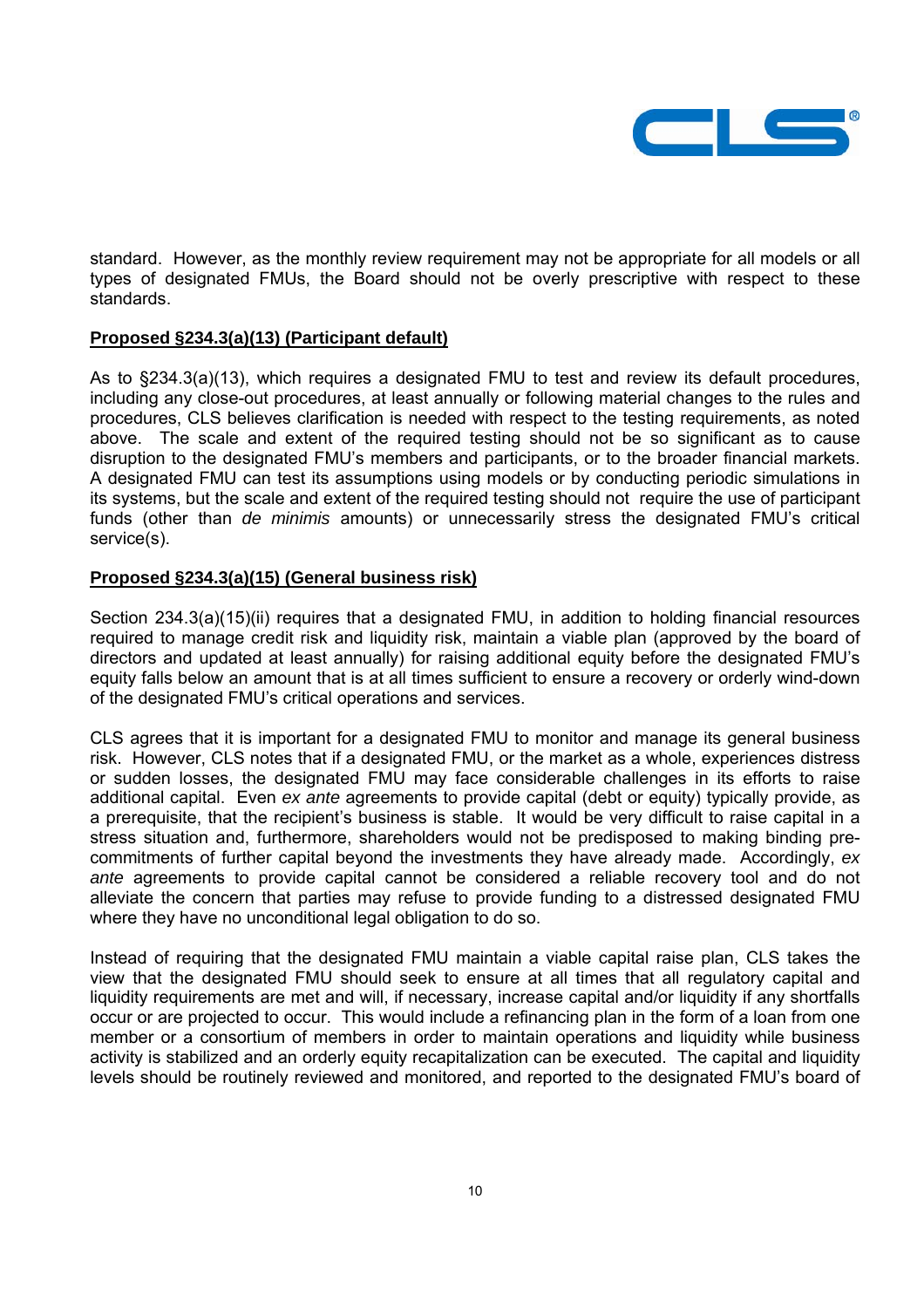

standard. However, as the monthly review requirement may not be appropriate for all models or all types of designated FMUs, the Board should not be overly prescriptive with respect to these standards.

### **Proposed §234.3(a)(13) (Participant default)**

As to §234.3(a)(13), which requires a designated FMU to test and review its default procedures, including any close-out procedures, at least annually or following material changes to the rules and procedures, CLS believes clarification is needed with respect to the testing requirements, as noted above. The scale and extent of the required testing should not be so significant as to cause disruption to the designated FMU's members and participants, or to the broader financial markets. A designated FMU can test its assumptions using models or by conducting periodic simulations in its systems, but the scale and extent of the required testing should not require the use of participant funds (other than *de minimis* amounts) or unnecessarily stress the designated FMU's critical service(s).

### **Proposed §234.3(a)(15) (General business risk)**

Section 234.3(a)(15)(ii) requires that a designated FMU, in addition to holding financial resources required to manage credit risk and liquidity risk, maintain a viable plan (approved by the board of directors and updated at least annually) for raising additional equity before the designated FMU's equity falls below an amount that is at all times sufficient to ensure a recovery or orderly wind-down of the designated FMU's critical operations and services.

CLS agrees that it is important for a designated FMU to monitor and manage its general business risk. However, CLS notes that if a designated FMU, or the market as a whole, experiences distress or sudden losses, the designated FMU may face considerable challenges in its efforts to raise additional capital. Even *ex ante* agreements to provide capital (debt or equity) typically provide, as a prerequisite, that the recipient's business is stable. It would be very difficult to raise capital in a stress situation and, furthermore, shareholders would not be predisposed to making binding precommitments of further capital beyond the investments they have already made. Accordingly, *ex ante* agreements to provide capital cannot be considered a reliable recovery tool and do not alleviate the concern that parties may refuse to provide funding to a distressed designated FMU where they have no unconditional legal obligation to do so.

Instead of requiring that the designated FMU maintain a viable capital raise plan, CLS takes the view that the designated FMU should seek to ensure at all times that all regulatory capital and liquidity requirements are met and will, if necessary, increase capital and/or liquidity if any shortfalls occur or are projected to occur. This would include a refinancing plan in the form of a loan from one member or a consortium of members in order to maintain operations and liquidity while business activity is stabilized and an orderly equity recapitalization can be executed. The capital and liquidity levels should be routinely reviewed and monitored, and reported to the designated FMU's board of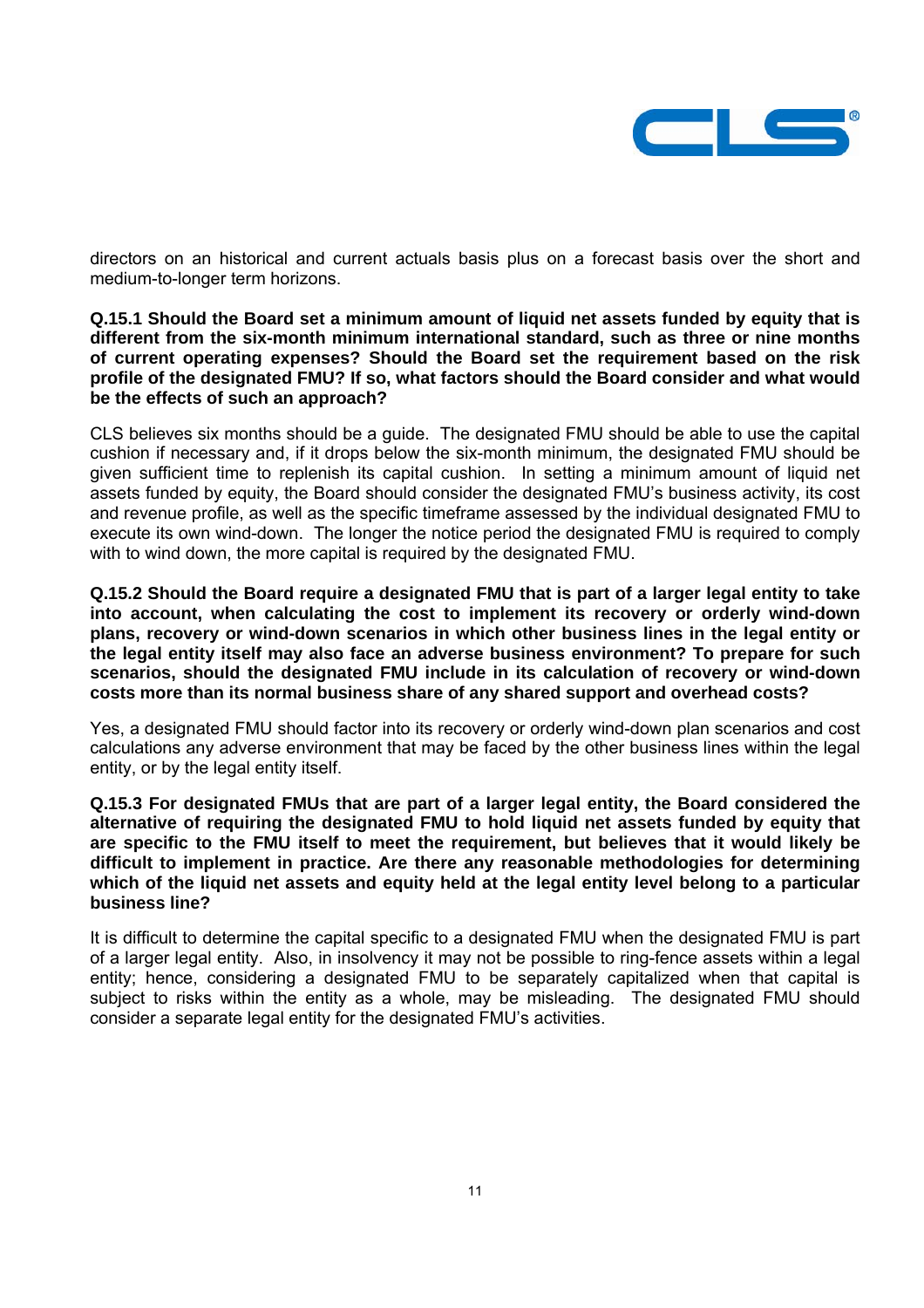

directors on an historical and current actuals basis plus on a forecast basis over the short and medium-to-longer term horizons.

#### **Q.15.1 Should the Board set a minimum amount of liquid net assets funded by equity that is different from the six-month minimum international standard, such as three or nine months of current operating expenses? Should the Board set the requirement based on the risk profile of the designated FMU? If so, what factors should the Board consider and what would be the effects of such an approach?**

CLS believes six months should be a guide. The designated FMU should be able to use the capital cushion if necessary and, if it drops below the six-month minimum, the designated FMU should be given sufficient time to replenish its capital cushion. In setting a minimum amount of liquid net assets funded by equity, the Board should consider the designated FMU's business activity, its cost and revenue profile, as well as the specific timeframe assessed by the individual designated FMU to execute its own wind-down. The longer the notice period the designated FMU is required to comply with to wind down, the more capital is required by the designated FMU.

**Q.15.2 Should the Board require a designated FMU that is part of a larger legal entity to take into account, when calculating the cost to implement its recovery or orderly wind-down plans, recovery or wind-down scenarios in which other business lines in the legal entity or the legal entity itself may also face an adverse business environment? To prepare for such scenarios, should the designated FMU include in its calculation of recovery or wind-down costs more than its normal business share of any shared support and overhead costs?** 

Yes, a designated FMU should factor into its recovery or orderly wind-down plan scenarios and cost calculations any adverse environment that may be faced by the other business lines within the legal entity, or by the legal entity itself.

**Q.15.3 For designated FMUs that are part of a larger legal entity, the Board considered the alternative of requiring the designated FMU to hold liquid net assets funded by equity that are specific to the FMU itself to meet the requirement, but believes that it would likely be difficult to implement in practice. Are there any reasonable methodologies for determining which of the liquid net assets and equity held at the legal entity level belong to a particular business line?** 

It is difficult to determine the capital specific to a designated FMU when the designated FMU is part of a larger legal entity. Also, in insolvency it may not be possible to ring-fence assets within a legal entity; hence, considering a designated FMU to be separately capitalized when that capital is subject to risks within the entity as a whole, may be misleading. The designated FMU should consider a separate legal entity for the designated FMU's activities.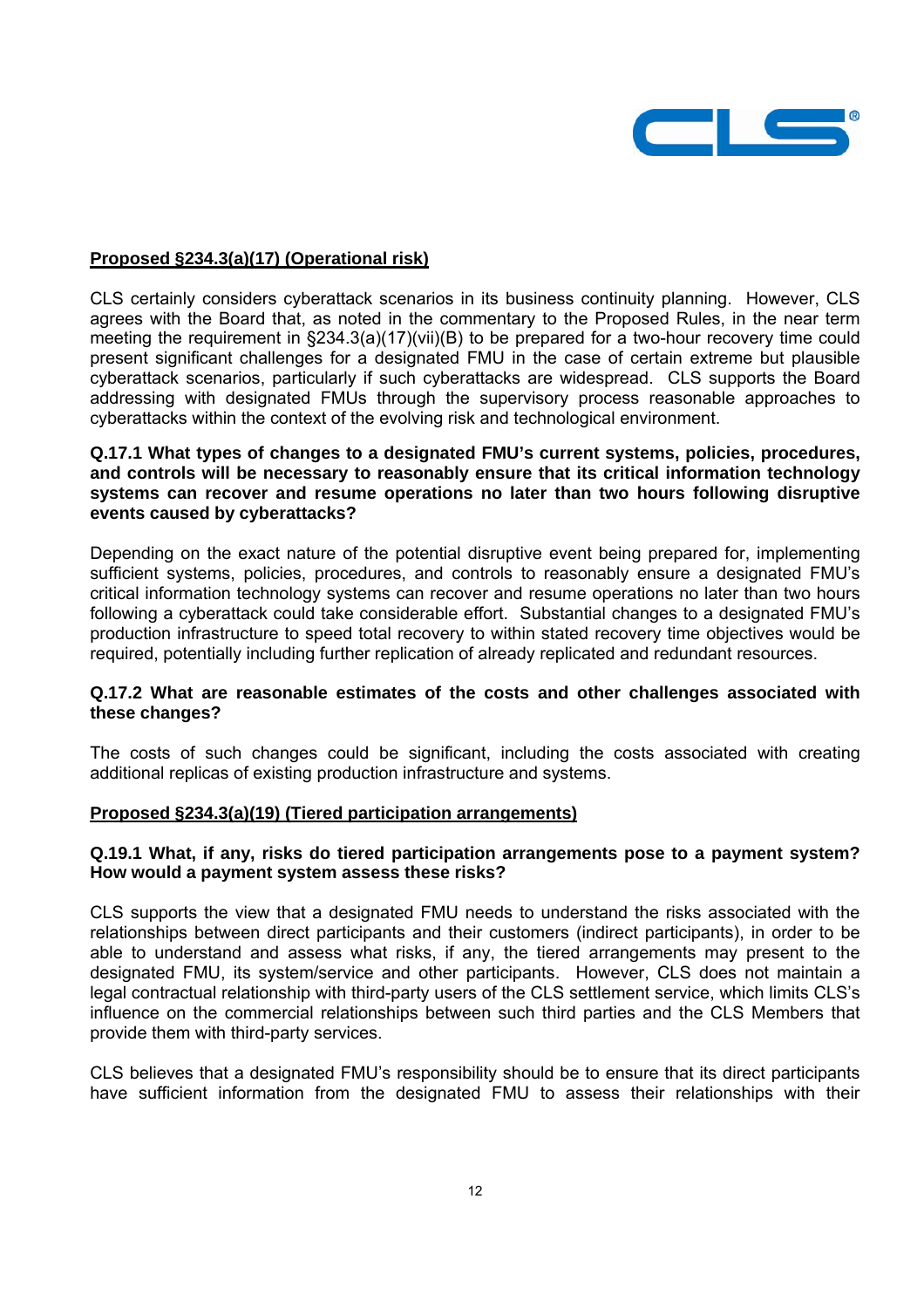

### **Proposed §234.3(a)(17) (Operational risk)**

CLS certainly considers cyberattack scenarios in its business continuity planning. However, CLS agrees with the Board that, as noted in the commentary to the Proposed Rules, in the near term meeting the requirement in §234.3(a)(17)(vii)(B) to be prepared for a two-hour recovery time could present significant challenges for a designated FMU in the case of certain extreme but plausible cyberattack scenarios, particularly if such cyberattacks are widespread. CLS supports the Board addressing with designated FMUs through the supervisory process reasonable approaches to cyberattacks within the context of the evolving risk and technological environment.

### **Q.17.1 What types of changes to a designated FMU's current systems, policies, procedures, and controls will be necessary to reasonably ensure that its critical information technology systems can recover and resume operations no later than two hours following disruptive events caused by cyberattacks?**

Depending on the exact nature of the potential disruptive event being prepared for, implementing sufficient systems, policies, procedures, and controls to reasonably ensure a designated FMU's critical information technology systems can recover and resume operations no later than two hours following a cyberattack could take considerable effort. Substantial changes to a designated FMU's production infrastructure to speed total recovery to within stated recovery time objectives would be required, potentially including further replication of already replicated and redundant resources.

### **Q.17.2 What are reasonable estimates of the costs and other challenges associated with these changes?**

The costs of such changes could be significant, including the costs associated with creating additional replicas of existing production infrastructure and systems.

# **Proposed §234.3(a)(19) (Tiered participation arrangements)**

# **Q.19.1 What, if any, risks do tiered participation arrangements pose to a payment system? How would a payment system assess these risks?**

CLS supports the view that a designated FMU needs to understand the risks associated with the relationships between direct participants and their customers (indirect participants), in order to be able to understand and assess what risks, if any, the tiered arrangements may present to the designated FMU, its system/service and other participants. However, CLS does not maintain a legal contractual relationship with third-party users of the CLS settlement service, which limits CLS's influence on the commercial relationships between such third parties and the CLS Members that provide them with third-party services.

CLS believes that a designated FMU's responsibility should be to ensure that its direct participants have sufficient information from the designated FMU to assess their relationships with their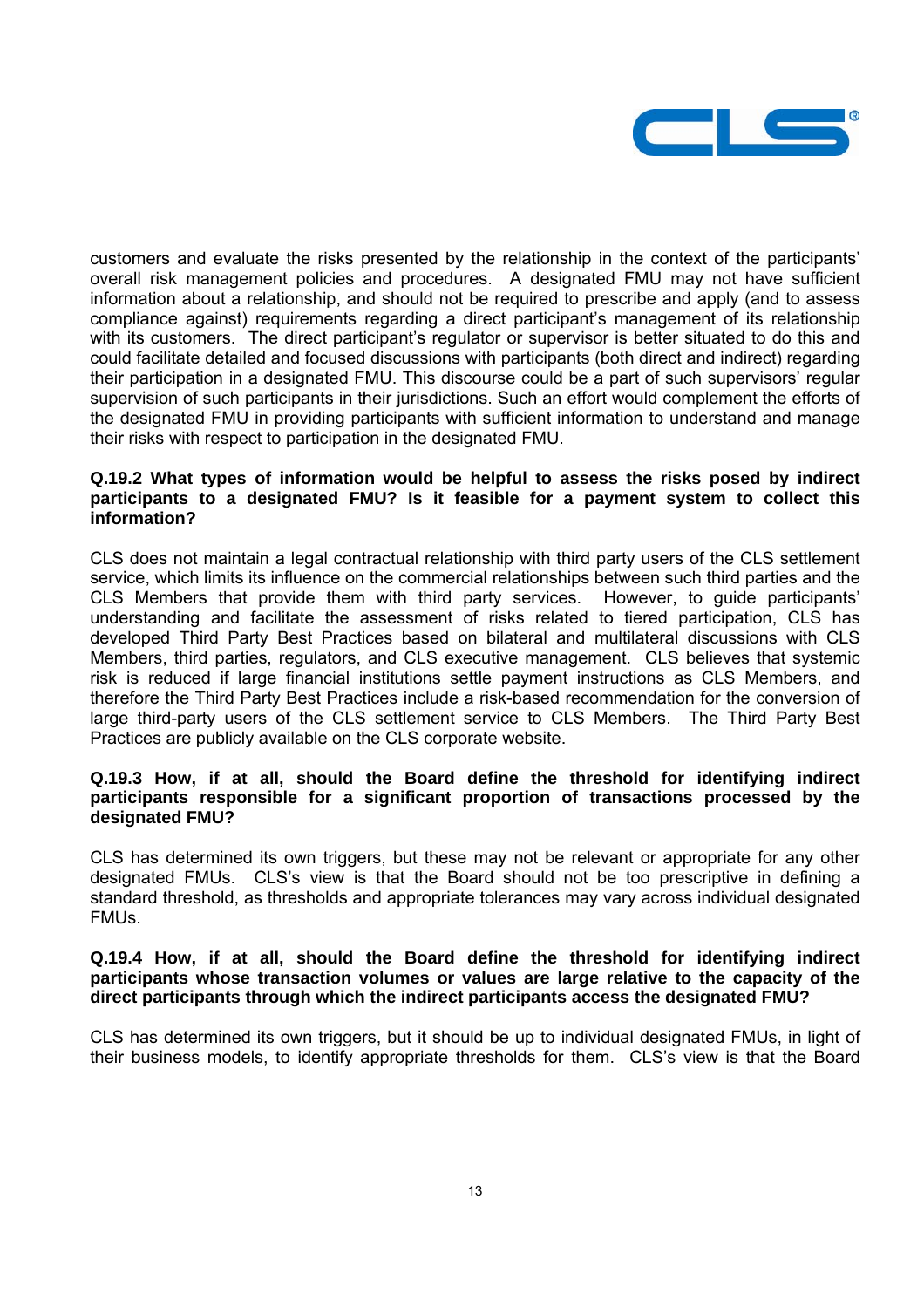

customers and evaluate the risks presented by the relationship in the context of the participants' overall risk management policies and procedures. A designated FMU may not have sufficient information about a relationship, and should not be required to prescribe and apply (and to assess compliance against) requirements regarding a direct participant's management of its relationship with its customers. The direct participant's regulator or supervisor is better situated to do this and could facilitate detailed and focused discussions with participants (both direct and indirect) regarding their participation in a designated FMU. This discourse could be a part of such supervisors' regular supervision of such participants in their jurisdictions. Such an effort would complement the efforts of the designated FMU in providing participants with sufficient information to understand and manage their risks with respect to participation in the designated FMU.

### **Q.19.2 What types of information would be helpful to assess the risks posed by indirect participants to a designated FMU? Is it feasible for a payment system to collect this information?**

CLS does not maintain a legal contractual relationship with third party users of the CLS settlement service, which limits its influence on the commercial relationships between such third parties and the CLS Members that provide them with third party services. However, to guide participants' understanding and facilitate the assessment of risks related to tiered participation, CLS has developed Third Party Best Practices based on bilateral and multilateral discussions with CLS Members, third parties, regulators, and CLS executive management. CLS believes that systemic risk is reduced if large financial institutions settle payment instructions as CLS Members, and therefore the Third Party Best Practices include a risk-based recommendation for the conversion of large third-party users of the CLS settlement service to CLS Members. The Third Party Best Practices are publicly available on the CLS corporate website.

## **Q.19.3 How, if at all, should the Board define the threshold for identifying indirect participants responsible for a significant proportion of transactions processed by the designated FMU?**

CLS has determined its own triggers, but these may not be relevant or appropriate for any other designated FMUs. CLS's view is that the Board should not be too prescriptive in defining a standard threshold, as thresholds and appropriate tolerances may vary across individual designated FMUs.

## **Q.19.4 How, if at all, should the Board define the threshold for identifying indirect participants whose transaction volumes or values are large relative to the capacity of the direct participants through which the indirect participants access the designated FMU?**

CLS has determined its own triggers, but it should be up to individual designated FMUs, in light of their business models, to identify appropriate thresholds for them. CLS's view is that the Board